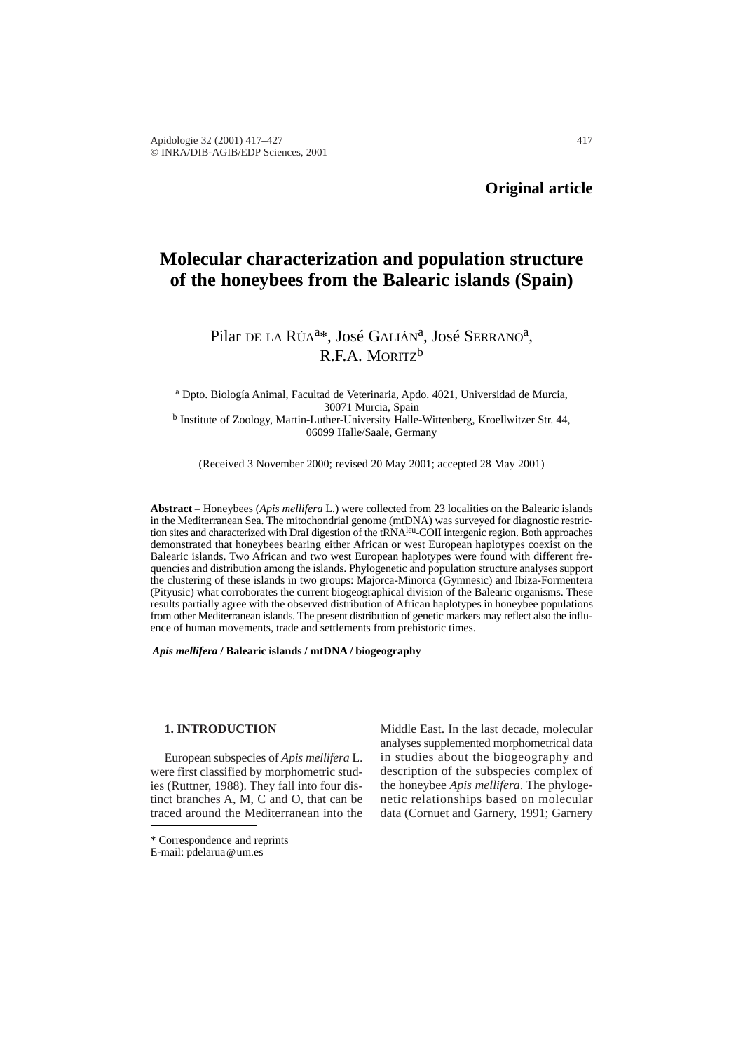# **Molecular characterization and population structure of the honeybees from the Balearic islands (Spain)**

# Pilar DE LA RÚA<sup>a\*</sup>, José GALIÁN<sup>a</sup>, José SERRANO<sup>a</sup>,  $R.F.A.$  MORITZ<sup>b</sup>

<sup>a</sup> Dpto. Biología Animal, Facultad de Veterinaria, Apdo. 4021, Universidad de Murcia, 30071 Murcia, Spain <sup>b</sup> Institute of Zoology, Martin-Luther-University Halle-Wittenberg, Kroellwitzer Str. 44, 06099 Halle/Saale, Germany

(Received 3 November 2000; revised 20 May 2001; accepted 28 May 2001)

**Abstract** – Honeybees (*Apis mellifera* L.) were collected from 23 localities on the Balearic islands in the Mediterranean Sea. The mitochondrial genome (mtDNA) was surveyed for diagnostic restriction sites and characterized with DraI digestion of the tRNA<sup>leu</sup>-COII intergenic region. Both approaches demonstrated that honeybees bearing either African or west European haplotypes coexist on the Balearic islands. Two African and two west European haplotypes were found with different frequencies and distribution among the islands. Phylogenetic and population structure analyses support the clustering of these islands in two groups: Majorca-Minorca (Gymnesic) and Ibiza-Formentera (Pityusic) what corroborates the current biogeographical division of the Balearic organisms. These results partially agree with the observed distribution of African haplotypes in honeybee populations from other Mediterranean islands. The present distribution of genetic markers may reflect also the influence of human movements, trade and settlements from prehistoric times.

*Apis mellifera* **/ Balearic islands / mtDNA / biogeography**

### **1. INTRODUCTION**

European subspecies of *Apis mellifera* L. were first classified by morphometric studies (Ruttner, 1988). They fall into four distinct branches A, M, C and O, that can be traced around the Mediterranean into the Middle East. In the last decade, molecular analyses supplemented morphometrical data in studies about the biogeography and description of the subspecies complex of the honeybee *Apis mellifera*. The phylogenetic relationships based on molecular data (Cornuet and Garnery, 1991; Garnery

<sup>\*</sup> Correspondence and reprints

E-mail: pdelarua@um.es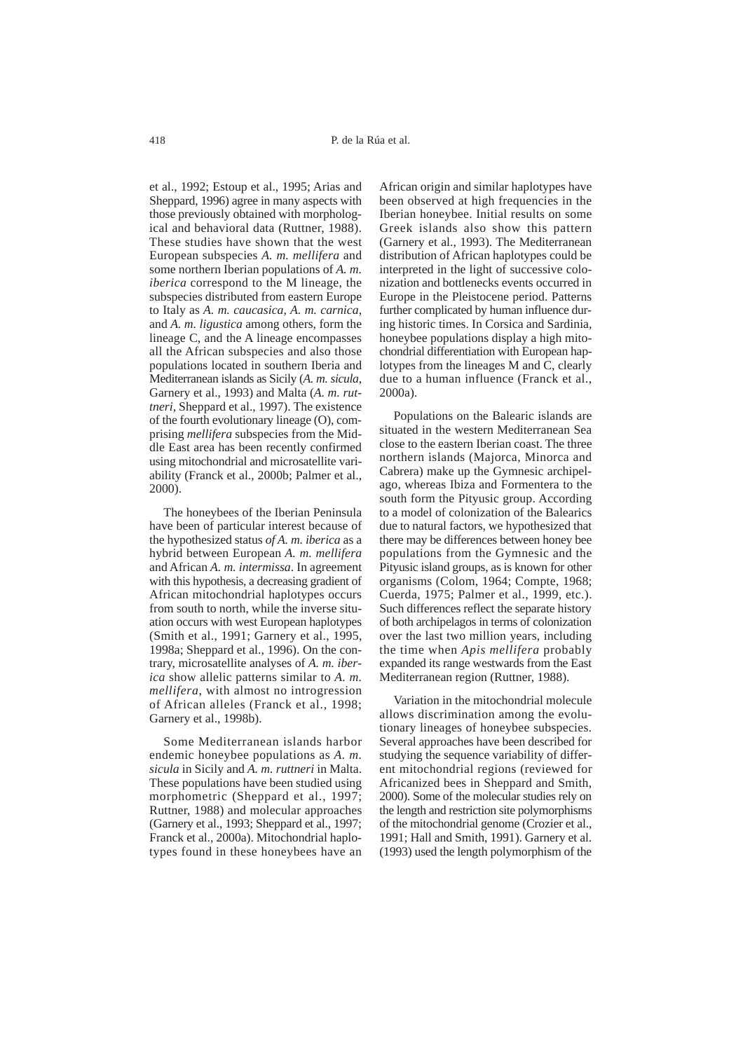et al., 1992; Estoup et al., 1995; Arias and Sheppard, 1996) agree in many aspects with those previously obtained with morphological and behavioral data (Ruttner, 1988). These studies have shown that the west European subspecies *A. m. mellifera* and some northern Iberian populations of *A. m. iberica* correspond to the M lineage, the subspecies distributed from eastern Europe to Italy as *A. m. caucasica*, *A. m. carnica*, and *A. m. ligustica* among others, form the lineage C, and the A lineage encompasses all the African subspecies and also those populations located in southern Iberia and Mediterranean islands as Sicily (*A. m. sicula*, Garnery et al., 1993) and Malta (*A. m. ruttneri*, Sheppard et al., 1997). The existence of the fourth evolutionary lineage (O), comprising *mellifera* subspecies from the Middle East area has been recently confirmed using mitochondrial and microsatellite variability (Franck et al., 2000b; Palmer et al., 2000).

The honeybees of the Iberian Peninsula have been of particular interest because of the hypothesized status *of A. m. iberica* as a hybrid between European *A. m. mellifera* and African *A. m. intermissa*. In agreement with this hypothesis, a decreasing gradient of African mitochondrial haplotypes occurs from south to north, while the inverse situation occurs with west European haplotypes (Smith et al., 1991; Garnery et al., 1995, 1998a; Sheppard et al., 1996). On the contrary, microsatellite analyses of *A. m. iberica* show allelic patterns similar to *A. m. mellifera*, with almost no introgression of African alleles (Franck et al., 1998; Garnery et al., 1998b).

Some Mediterranean islands harbor endemic honeybee populations as *A. m. sicula* in Sicily and *A. m. ruttneri* in Malta. These populations have been studied using morphometric (Sheppard et al., 1997; Ruttner, 1988) and molecular approaches (Garnery et al., 1993; Sheppard et al., 1997; Franck et al., 2000a). Mitochondrial haplotypes found in these honeybees have an

African origin and similar haplotypes have been observed at high frequencies in the Iberian honeybee. Initial results on some Greek islands also show this pattern (Garnery et al., 1993). The Mediterranean distribution of African haplotypes could be interpreted in the light of successive colonization and bottlenecks events occurred in Europe in the Pleistocene period. Patterns further complicated by human influence during historic times. In Corsica and Sardinia, honeybee populations display a high mitochondrial differentiation with European haplotypes from the lineages M and C, clearly due to a human influence (Franck et al., 2000a).

Populations on the Balearic islands are situated in the western Mediterranean Sea close to the eastern Iberian coast. The three northern islands (Majorca, Minorca and Cabrera) make up the Gymnesic archipelago, whereas Ibiza and Formentera to the south form the Pityusic group. According to a model of colonization of the Balearics due to natural factors, we hypothesized that there may be differences between honey bee populations from the Gymnesic and the Pityusic island groups, as is known for other organisms (Colom, 1964; Compte, 1968; Cuerda, 1975; Palmer et al., 1999, etc.). Such differences reflect the separate history of both archipelagos in terms of colonization over the last two million years, including the time when *Apis mellifera* probably expanded its range westwards from the East Mediterranean region (Ruttner, 1988).

Variation in the mitochondrial molecule allows discrimination among the evolutionary lineages of honeybee subspecies. Several approaches have been described for studying the sequence variability of different mitochondrial regions (reviewed for Africanized bees in Sheppard and Smith, 2000). Some of the molecular studies rely on the length and restriction site polymorphisms of the mitochondrial genome (Crozier et al., 1991; Hall and Smith, 1991). Garnery et al. (1993) used the length polymorphism of the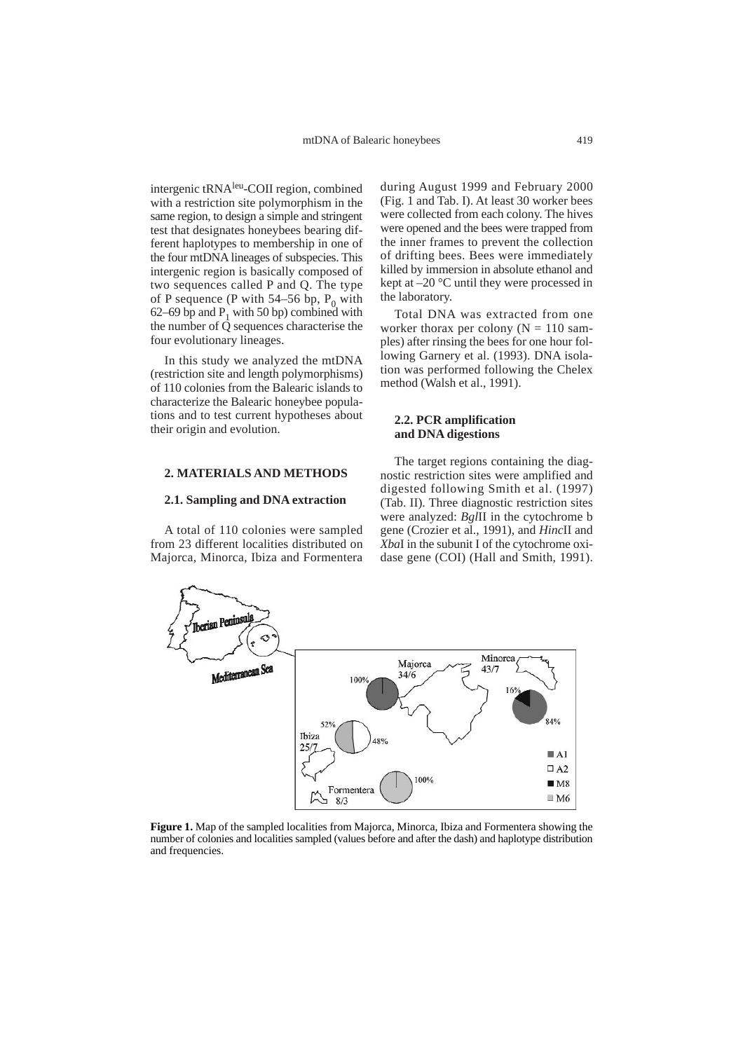intergenic tRNAleu-COII region, combined with a restriction site polymorphism in the same region, to design a simple and stringent test that designates honeybees bearing different haplotypes to membership in one of the four mtDNA lineages of subspecies. This intergenic region is basically composed of two sequences called P and Q. The type of P sequence (P with 54–56 bp,  $P_0$  with 62–69 bp and  $P_1$  with 50 bp) combined with the number of  $\dot{Q}$  sequences characterise the four evolutionary lineages.

In this study we analyzed the mtDNA (restriction site and length polymorphisms) of 110 colonies from the Balearic islands to characterize the Balearic honeybee populations and to test current hypotheses about their origin and evolution.

# **2. MATERIALS AND METHODS**

#### **2.1. Sampling and DNA extraction**

A total of 110 colonies were sampled from 23 different localities distributed on Majorca, Minorca, Ibiza and Formentera during August 1999 and February 2000 (Fig. 1 and Tab. I). At least 30 worker bees were collected from each colony. The hives were opened and the bees were trapped from the inner frames to prevent the collection of drifting bees. Bees were immediately killed by immersion in absolute ethanol and kept at –20 °C until they were processed in the laboratory.

Total DNA was extracted from one worker thorax per colony  $(N = 110 \text{ sam}$ ples) after rinsing the bees for one hour following Garnery et al. (1993). DNA isolation was performed following the Chelex method (Walsh et al., 1991).

#### **2.2. PCR amplification and DNA digestions**

The target regions containing the diagnostic restriction sites were amplified and digested following Smith et al. (1997) (Tab. II). Three diagnostic restriction sites were analyzed: *Bgl*II in the cytochrome b gene (Crozier et al., 1991), and *Hinc*II and *Xba*I in the subunit I of the cytochrome oxidase gene (COI) (Hall and Smith, 1991).



**Figure 1.** Map of the sampled localities from Majorca, Minorca, Ibiza and Formentera showing the number of colonies and localities sampled (values before and after the dash) and haplotype distribution and frequencies.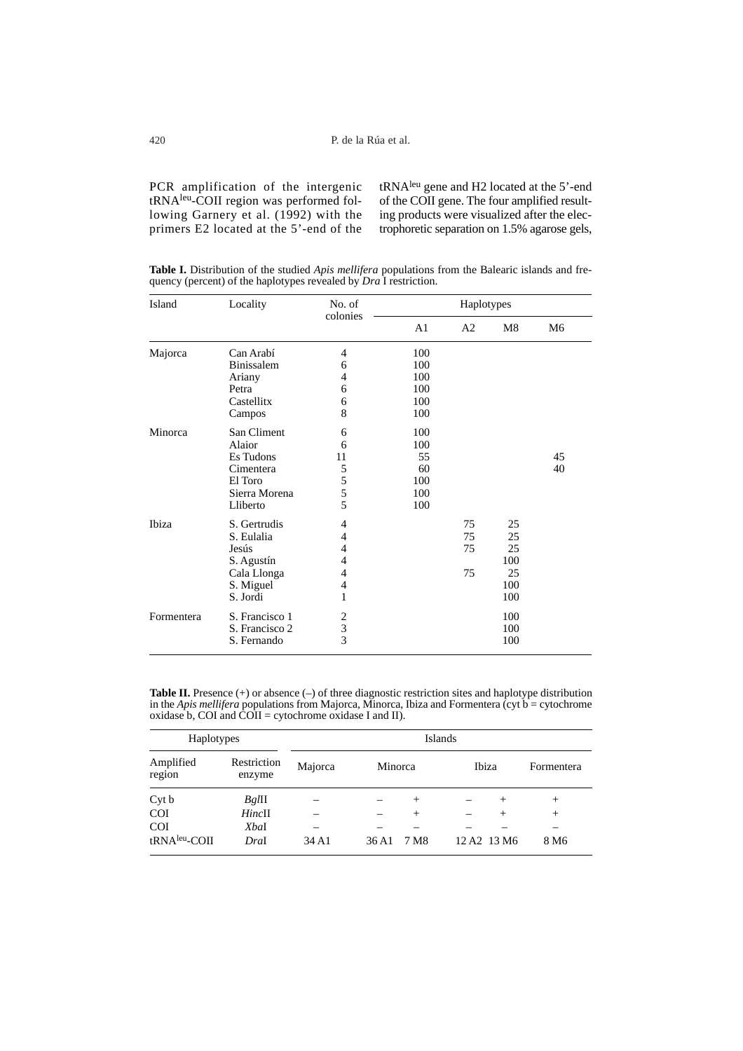PCR amplification of the intergenic tRNAleu-COII region was performed following Garnery et al. (1992) with the primers E2 located at the 5'-end of the

tRNA<sup>leu</sup> gene and H2 located at the 5'-end of the COII gene. The four amplified resulting products were visualized after the electrophoretic separation on 1.5% agarose gels,

**Table I.** Distribution of the studied *Apis mellifera* populations from the Balearic islands and frequency (percent) of the haplotypes revealed by *Dra* I restriction.

| Island     | Locality       | No. of<br>colonies | Haplotypes     |                |     |    |
|------------|----------------|--------------------|----------------|----------------|-----|----|
|            |                |                    | A <sub>1</sub> | A <sub>2</sub> | M8  | M6 |
| Majorca    | Can Arabí      | 4                  | 100            |                |     |    |
|            | Binissalem     | 6                  | 100            |                |     |    |
|            | Ariany         | 4                  | 100            |                |     |    |
|            | Petra          | 6                  | 100            |                |     |    |
|            | Castellitx     | 6                  | 100            |                |     |    |
|            | Campos         | 8                  | 100            |                |     |    |
| Minorca    | San Climent    | 6                  | 100            |                |     |    |
|            | Alaior         | 6                  | 100            |                |     |    |
|            | Es Tudons      | 11                 | 55             |                |     | 45 |
|            | Cimentera      | 5                  | 60             |                |     | 40 |
|            | El Toro        | 5                  | 100            |                |     |    |
|            | Sierra Morena  | 5                  | 100            |                |     |    |
|            | Lliberto       | 5                  | 100            |                |     |    |
| Ibiza      | S. Gertrudis   | 4                  |                | 75             | 25  |    |
|            | S. Eulalia     | 4                  |                | 75             | 25  |    |
|            | Jesús          | 4                  |                | 75             | 25  |    |
|            | S. Agustín     | 4                  |                |                | 100 |    |
|            | Cala Llonga    | 4                  |                | 75             | 25  |    |
|            | S. Miguel      | 4                  |                |                | 100 |    |
|            | S. Jordi       | 1                  |                |                | 100 |    |
| Formentera | S. Francisco 1 | 2                  |                |                | 100 |    |
|            | S. Francisco 2 | 3                  |                |                | 100 |    |
|            | S. Fernando    | $\overline{3}$     |                |                | 100 |    |

**Table II.** Presence (+) or absence (-) of three diagnostic restriction sites and haplotype distribution in the *Apis mellifera* populations from Majorca, Minorca, Ibiza and Formentera (cyt b = cytochrome oxidase b, COI and COII = cytochrome oxidase I and II).

| Haplotypes               |                       | Islands |         |        |             |        |                  |
|--------------------------|-----------------------|---------|---------|--------|-------------|--------|------------------|
| Amplified<br>region      | Restriction<br>enzyme | Majorca | Minorca |        | Ibiza       |        | Formentera       |
| Cyt b                    | $Bg$ l $\Pi$          |         |         | $^{+}$ |             | $^{+}$ | $^{+}$           |
| <b>COI</b>               | $Hinc$ II             |         |         | $^{+}$ |             | $^+$   | $^{+}$           |
| <b>COI</b>               | XbaI                  |         |         |        |             |        |                  |
| tRNAleu <sub>-COII</sub> | DraI                  | 34 A1   | 36 A 1  | 7 M8   | 12 A2 13 M6 |        | 8 M <sub>6</sub> |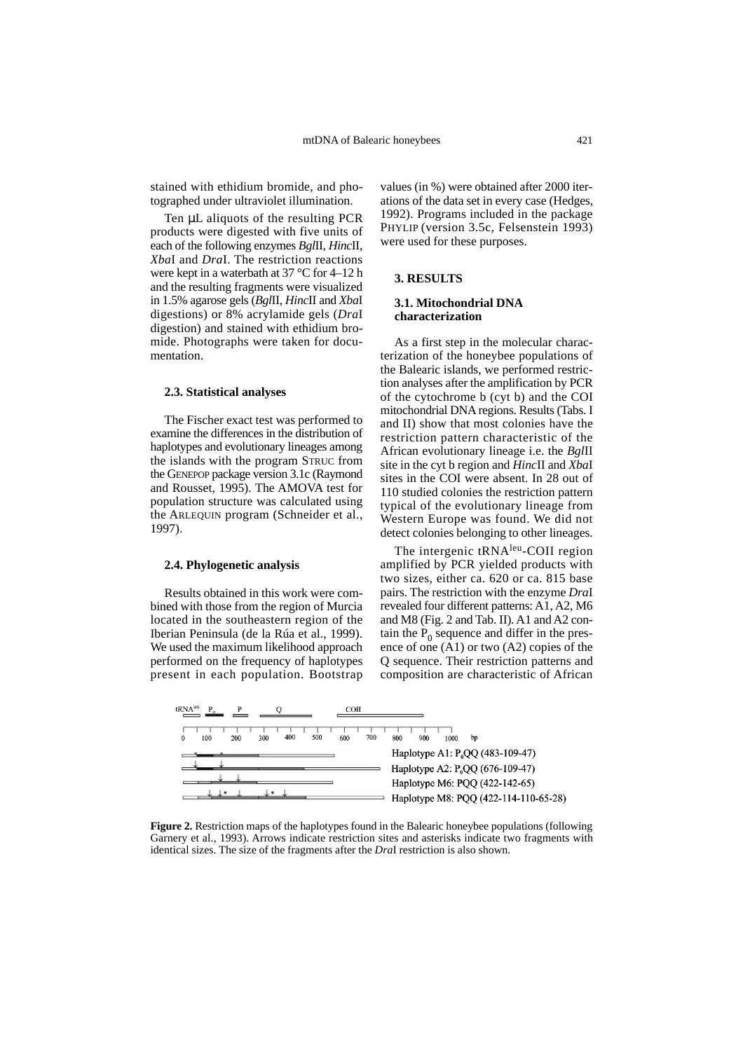stained with ethidium bromide, and photographed under ultraviolet illumination.

Ten µL aliquots of the resulting PCR products were digested with five units of each of the following enzymes *Bgl*II, *Hinc*II, *Xba*I and *Dra*I. The restriction reactions were kept in a waterbath at 37 °C for 4–12 h and the resulting fragments were visualized in 1.5% agarose gels (*Bgl*II, *Hinc*II and *Xba*I digestions) or 8% acrylamide gels (*Dra*I digestion) and stained with ethidium bromide. Photographs were taken for documentation.

### **2.3. Statistical analyses**

The Fischer exact test was performed to examine the differences in the distribution of haplotypes and evolutionary lineages among the islands with the program STRUC from the GENEPOP package version 3.1c (Raymond and Rousset, 1995). The AMOVA test for population structure was calculated using the ARLEQUIN program (Schneider et al., 1997).

#### **2.4. Phylogenetic analysis**

Results obtained in this work were combined with those from the region of Murcia located in the southeastern region of the Iberian Peninsula (de la Rúa et al., 1999). We used the maximum likelihood approach performed on the frequency of haplotypes present in each population. Bootstrap

values (in %) were obtained after 2000 iterations of the data set in every case (Hedges, 1992). Programs included in the package PHYLIP (version 3.5c, Felsenstein 1993) were used for these purposes.

# **3. RESULTS**

# **3.1. Mitochondrial DNA characterization**

As a first step in the molecular characterization of the honeybee populations of the Balearic islands, we performed restriction analyses after the amplification by PCR of the cytochrome b (cyt b) and the COI mitochondrial DNA regions. Results (Tabs. I and II) show that most colonies have the restriction pattern characteristic of the African evolutionary lineage i.e. the *Bgl*II site in the cyt b region and *Hinc*II and *Xba*I sites in the COI were absent. In 28 out of 110 studied colonies the restriction pattern typical of the evolutionary lineage from Western Europe was found. We did not detect colonies belonging to other lineages.

The intergenic tRNA<sup>leu</sup>-COII region amplified by PCR yielded products with two sizes, either ca. 620 or ca. 815 base pairs. The restriction with the enzyme *Dra*I revealed four different patterns: A1, A2, M6 and M8 (Fig. 2 and Tab. II). A1 and A2 contain the  $P_0$  sequence and differ in the presence of one (A1) or two (A2) copies of the Q sequence. Their restriction patterns and composition are characteristic of African



**Figure 2.** Restriction maps of the haplotypes found in the Balearic honeybee populations (following Garnery et al., 1993). Arrows indicate restriction sites and asterisks indicate two fragments with identical sizes. The size of the fragments after the *Dra*I restriction is also shown.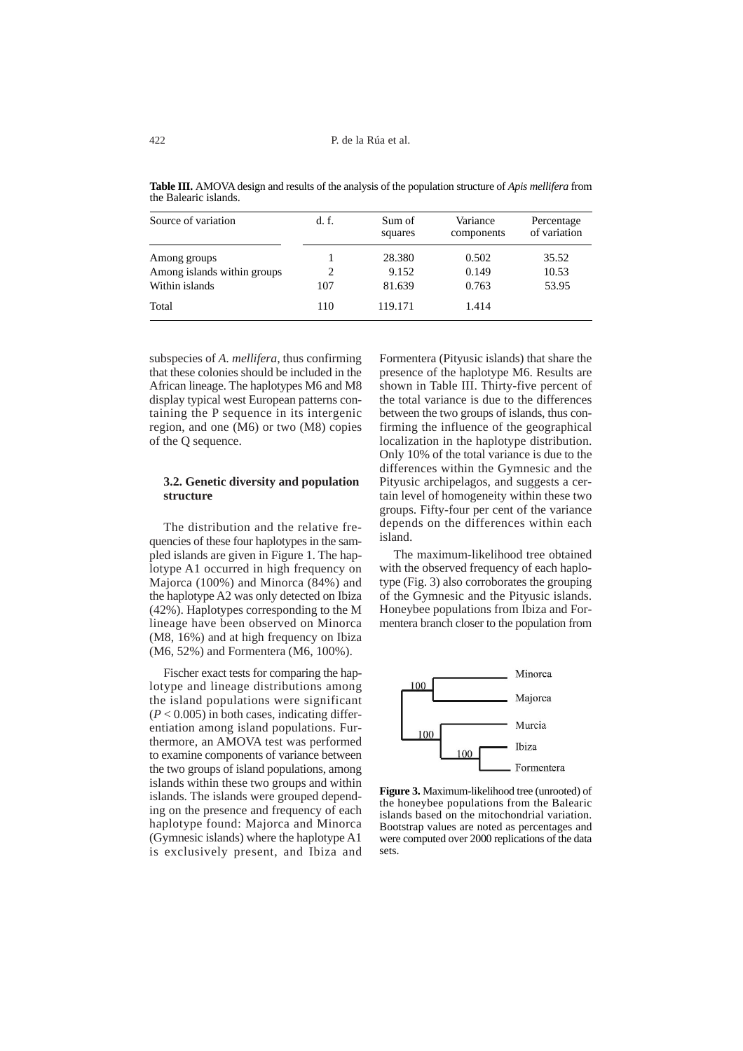| Source of variation         | d. f. | Sum of<br>squares | Variance<br>components | Percentage<br>of variation |
|-----------------------------|-------|-------------------|------------------------|----------------------------|
| Among groups                |       | 28.380            | 0.502                  | 35.52                      |
| Among islands within groups | 2     | 9.152             | 0.149                  | 10.53                      |
| Within islands              | 107   | 81.639            | 0.763                  | 53.95                      |
| Total                       | 110   | 119.171           | 1.414                  |                            |

**Table III.** AMOVA design and results of the analysis of the population structure of *Apis mellifera* from the Balearic islands.

subspecies of *A. mellifera*, thus confirming that these colonies should be included in the African lineage. The haplotypes M6 and M8 display typical west European patterns containing the P sequence in its intergenic region, and one (M6) or two (M8) copies of the Q sequence.

### **3.2. Genetic diversity and population structure**

The distribution and the relative frequencies of these four haplotypes in the sampled islands are given in Figure 1. The haplotype A1 occurred in high frequency on Majorca (100%) and Minorca (84%) and the haplotype A2 was only detected on Ibiza (42%). Haplotypes corresponding to the M lineage have been observed on Minorca (M8, 16%) and at high frequency on Ibiza (M6, 52%) and Formentera (M6, 100%).

Fischer exact tests for comparing the haplotype and lineage distributions among the island populations were significant  $(P<0.005)$  in both cases, indicating differentiation among island populations. Furthermore, an AMOVA test was performed to examine components of variance between the two groups of island populations, among islands within these two groups and within islands. The islands were grouped depending on the presence and frequency of each haplotype found: Majorca and Minorca (Gymnesic islands) where the haplotype A1 is exclusively present, and Ibiza and Formentera (Pityusic islands) that share the presence of the haplotype M6. Results are shown in Table III. Thirty-five percent of the total variance is due to the differences between the two groups of islands, thus confirming the influence of the geographical localization in the haplotype distribution. Only 10% of the total variance is due to the differences within the Gymnesic and the Pityusic archipelagos, and suggests a certain level of homogeneity within these two groups. Fifty-four per cent of the variance depends on the differences within each island.

The maximum-likelihood tree obtained with the observed frequency of each haplotype (Fig. 3) also corroborates the grouping of the Gymnesic and the Pityusic islands. Honeybee populations from Ibiza and Formentera branch closer to the population from



**Figure 3.** Maximum-likelihood tree (unrooted) of the honeybee populations from the Balearic islands based on the mitochondrial variation. Bootstrap values are noted as percentages and were computed over 2000 replications of the data sets.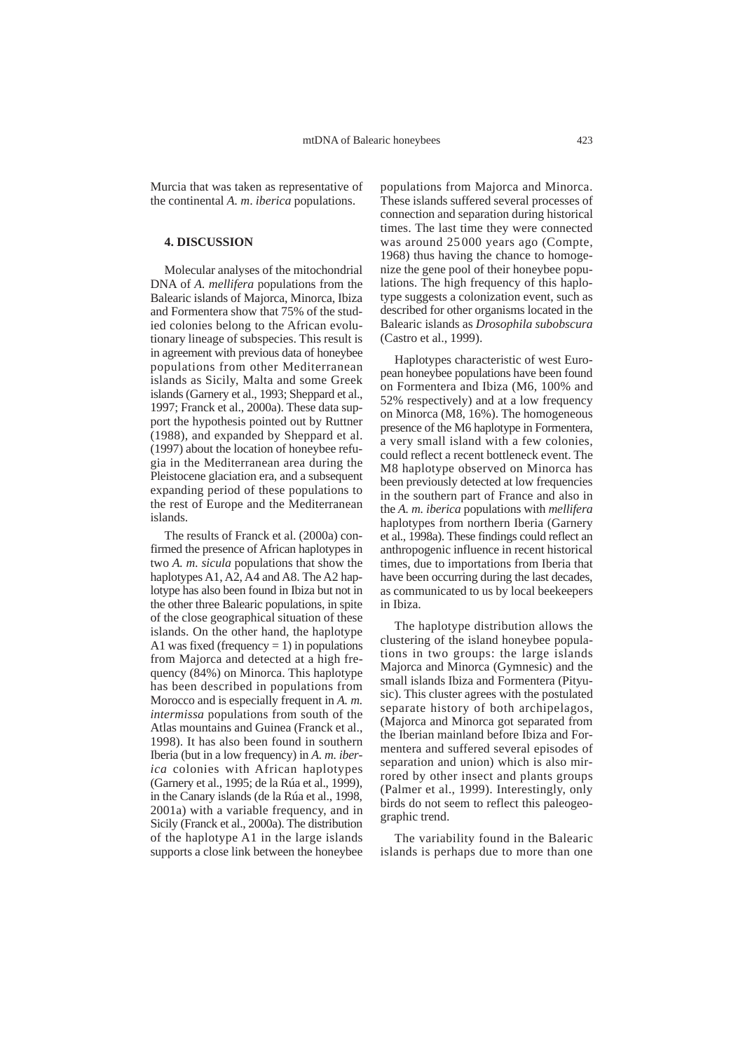Murcia that was taken as representative of the continental *A. m*. *iberica* populations.

# **4. DISCUSSION**

Molecular analyses of the mitochondrial DNA of *A. mellifera* populations from the Balearic islands of Majorca, Minorca, Ibiza and Formentera show that 75% of the studied colonies belong to the African evolutionary lineage of subspecies. This result is in agreement with previous data of honeybee populations from other Mediterranean islands as Sicily, Malta and some Greek islands (Garnery et al., 1993; Sheppard et al., 1997; Franck et al., 2000a). These data support the hypothesis pointed out by Ruttner (1988), and expanded by Sheppard et al. (1997) about the location of honeybee refugia in the Mediterranean area during the Pleistocene glaciation era, and a subsequent expanding period of these populations to the rest of Europe and the Mediterranean islands.

The results of Franck et al. (2000a) confirmed the presence of African haplotypes in two *A. m. sicula* populations that show the haplotypes A1, A2, A4 and A8. The A2 haplotype has also been found in Ibiza but not in the other three Balearic populations, in spite of the close geographical situation of these islands. On the other hand, the haplotype A1 was fixed (frequency  $= 1$ ) in populations from Majorca and detected at a high frequency (84%) on Minorca. This haplotype has been described in populations from Morocco and is especially frequent in *A. m. intermissa* populations from south of the Atlas mountains and Guinea (Franck et al., 1998). It has also been found in southern Iberia (but in a low frequency) in *A. m. iberica* colonies with African haplotypes (Garnery et al., 1995; de la Rúa et al., 1999), in the Canary islands (de la Rúa et al., 1998, 2001a) with a variable frequency, and in Sicily (Franck et al., 2000a). The distribution of the haplotype A1 in the large islands supports a close link between the honeybee

populations from Majorca and Minorca. These islands suffered several processes of connection and separation during historical times. The last time they were connected was around 25000 years ago (Compte, 1968) thus having the chance to homogenize the gene pool of their honeybee populations. The high frequency of this haplotype suggests a colonization event, such as described for other organisms located in the Balearic islands as *Drosophila subobscura* (Castro et al., 1999).

Haplotypes characteristic of west European honeybee populations have been found on Formentera and Ibiza (M6, 100% and 52% respectively) and at a low frequency on Minorca (M8, 16%). The homogeneous presence of the M6 haplotype in Formentera, a very small island with a few colonies, could reflect a recent bottleneck event. The M8 haplotype observed on Minorca has been previously detected at low frequencies in the southern part of France and also in the *A. m. iberica* populations with *mellifera* haplotypes from northern Iberia (Garnery et al., 1998a). These findings could reflect an anthropogenic influence in recent historical times, due to importations from Iberia that have been occurring during the last decades, as communicated to us by local beekeepers in Ibiza.

The haplotype distribution allows the clustering of the island honeybee populations in two groups: the large islands Majorca and Minorca (Gymnesic) and the small islands Ibiza and Formentera (Pityusic). This cluster agrees with the postulated separate history of both archipelagos, (Majorca and Minorca got separated from the Iberian mainland before Ibiza and Formentera and suffered several episodes of separation and union) which is also mirrored by other insect and plants groups (Palmer et al., 1999). Interestingly, only birds do not seem to reflect this paleogeographic trend.

The variability found in the Balearic islands is perhaps due to more than one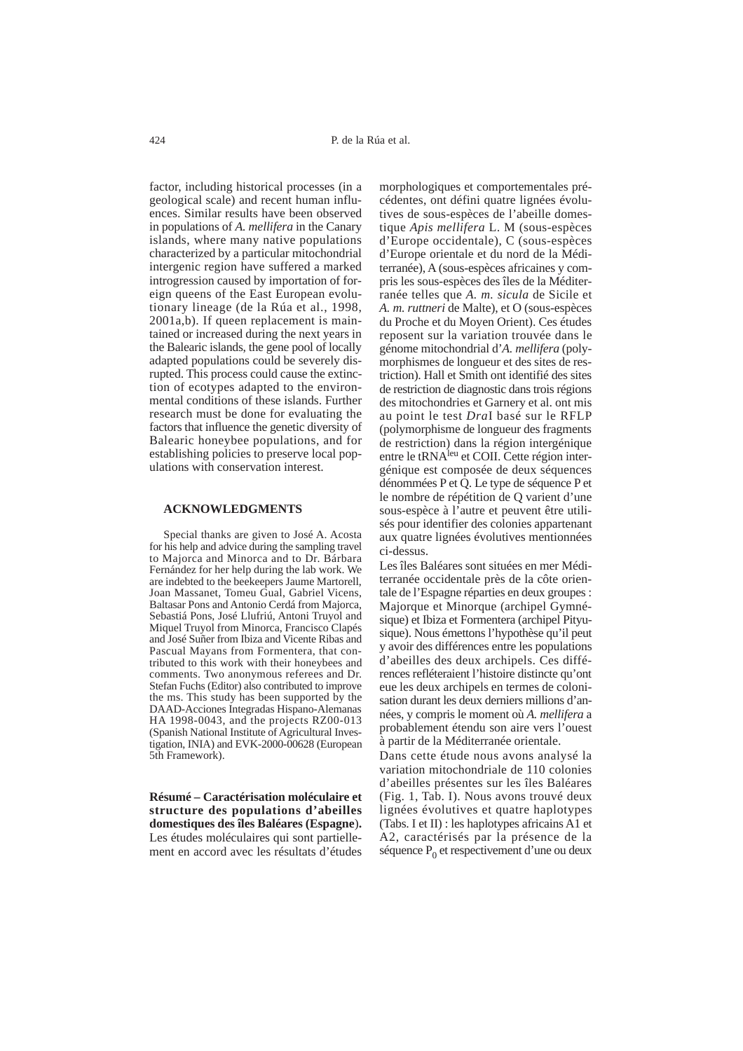factor, including historical processes (in a geological scale) and recent human influences. Similar results have been observed in populations of *A. mellifera* in the Canary islands, where many native populations characterized by a particular mitochondrial intergenic region have suffered a marked introgression caused by importation of foreign queens of the East European evolutionary lineage (de la Rúa et al., 1998, 2001a,b). If queen replacement is maintained or increased during the next years in the Balearic islands, the gene pool of locally adapted populations could be severely disrupted. This process could cause the extinction of ecotypes adapted to the environmental conditions of these islands. Further research must be done for evaluating the factors that influence the genetic diversity of Balearic honeybee populations, and for establishing policies to preserve local populations with conservation interest.

#### **ACKNOWLEDGMENTS**

Special thanks are given to José A. Acosta for his help and advice during the sampling travel to Majorca and Minorca and to Dr. Bárbara Fernández for her help during the lab work. We are indebted to the beekeepers Jaume Martorell, Joan Massanet, Tomeu Gual, Gabriel Vicens, Baltasar Pons and Antonio Cerdá from Majorca, Sebastiá Pons, José Llufriú, Antoni Truyol and Miquel Truyol from Minorca, Francisco Clapés and José Suñer from Ibiza and Vicente Ribas and Pascual Mayans from Formentera, that contributed to this work with their honeybees and comments. Two anonymous referees and Dr. Stefan Fuchs (Editor) also contributed to improve the ms. This study has been supported by the DAAD-Acciones Integradas Hispano-Alemanas HA 1998-0043, and the projects RZ00-013 (Spanish National Institute of Agricultural Investigation, INIA) and EVK-2000-00628 (European 5th Framework).

**Résumé – Caractérisation moléculaire et structure des populations d'abeilles domestiques des îles Baléares (Espagne**)**.** Les études moléculaires qui sont partiellement en accord avec les résultats d'études

morphologiques et comportementales précédentes, ont défini quatre lignées évolutives de sous-espèces de l'abeille domestique *Apis mellifera* L. M (sous-espèces d'Europe occidentale), C (sous-espèces d'Europe orientale et du nord de la Méditerranée), A (sous-espèces africaines y compris les sous-espèces des îles de la Méditerranée telles que *A. m. sicula* de Sicile et *A. m. ruttneri* de Malte), et O (sous-espèces du Proche et du Moyen Orient). Ces études reposent sur la variation trouvée dans le génome mitochondrial d'*A. mellifera* (polymorphismes de longueur et des sites de restriction). Hall et Smith ont identifié des sites de restriction de diagnostic dans trois régions des mitochondries et Garnery et al. ont mis au point le test *Dra*I basé sur le RFLP (polymorphisme de longueur des fragments de restriction) dans la région intergénique entre le tRNA<sup>leu</sup> et COII. Cette région intergénique est composée de deux séquences dénommées P et Q. Le type de séquence P et le nombre de répétition de Q varient d'une sous-espèce à l'autre et peuvent être utilisés pour identifier des colonies appartenant aux quatre lignées évolutives mentionnées ci-dessus.

Les îles Baléares sont situées en mer Méditerranée occidentale près de la côte orientale de l'Espagne réparties en deux groupes : Majorque et Minorque (archipel Gymnésique) et Ibiza et Formentera (archipel Pityusique). Nous émettons l'hypothèse qu'il peut y avoir des différences entre les populations d'abeilles des deux archipels. Ces différences refléteraient l'histoire distincte qu'ont eue les deux archipels en termes de colonisation durant les deux derniers millions d'années, y compris le moment où *A. mellifera* a probablement étendu son aire vers l'ouest à partir de la Méditerranée orientale.

Dans cette étude nous avons analysé la variation mitochondriale de 110 colonies d'abeilles présentes sur les îles Baléares (Fig. 1, Tab. I). Nous avons trouvé deux lignées évolutives et quatre haplotypes (Tabs. I et II) : les haplotypes africains A1 et A2, caractérisés par la présence de la séquence  $P_0$  et respectivement d'une ou deux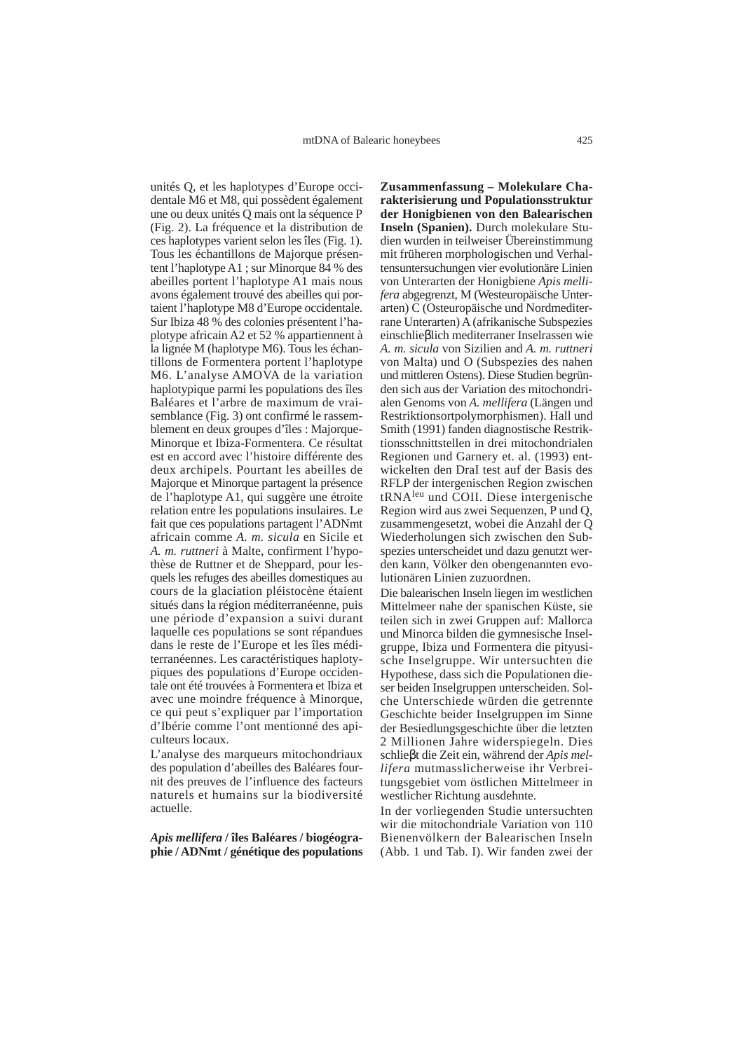unités Q, et les haplotypes d'Europe occidentale M6 et M8, qui possèdent également une ou deux unités Q mais ont la séquence P (Fig. 2). La fréquence et la distribution de ces haplotypes varient selon les îles (Fig. 1). Tous les échantillons de Majorque présentent l'haplotype A1 ; sur Minorque 84 % des abeilles portent l'haplotype A1 mais nous avons également trouvé des abeilles qui portaient l'haplotype M8 d'Europe occidentale. Sur Ibiza 48 % des colonies présentent l'haplotype africain A2 et 52 % appartiennent à la lignée M (haplotype M6). Tous les échantillons de Formentera portent l'haplotype M6. L'analyse AMOVA de la variation haplotypique parmi les populations des îles Baléares et l'arbre de maximum de vraisemblance (Fig. 3) ont confirmé le rassemblement en deux groupes d'îles : Majorque-Minorque et Ibiza-Formentera. Ce résultat est en accord avec l'histoire différente des deux archipels. Pourtant les abeilles de Majorque et Minorque partagent la présence de l'haplotype A1, qui suggère une étroite relation entre les populations insulaires. Le fait que ces populations partagent l'ADNmt africain comme *A. m. sicula* en Sicile et *A. m. ruttneri* à Malte, confirment l'hypothèse de Ruttner et de Sheppard, pour lesquels les refuges des abeilles domestiques au cours de la glaciation pléistocène étaient situés dans la région méditerranéenne, puis une période d'expansion a suivi durant laquelle ces populations se sont répandues dans le reste de l'Europe et les îles méditerranéennes. Les caractéristiques haplotypiques des populations d'Europe occidentale ont été trouvées à Formentera et Ibiza et avec une moindre fréquence à Minorque, ce qui peut s'expliquer par l'importation d'Ibérie comme l'ont mentionné des apiculteurs locaux.

L'analyse des marqueurs mitochondriaux des population d'abeilles des Baléares fournit des preuves de l'influence des facteurs naturels et humains sur la biodiversité actuelle.

*Apis mellifera* **/ îles Baléares / biogéographie / ADNmt / génétique des populations**

**Zusammenfassung – Molekulare Charakterisierung und Populationsstruktur der Honigbienen von den Balearischen Inseln (Spanien).** Durch molekulare Studien wurden in teilweiser Übereinstimmung mit früheren morphologischen und Verhaltensuntersuchungen vier evolutionäre Linien von Unterarten der Honigbiene *Apis mellifera* abgegrenzt, M (Westeuropäische Unterarten) C (Osteuropäische und Nordmediterrane Unterarten) A (afrikanische Subspezies einschlieβlich mediterraner Inselrassen wie *A. m. sicula* von Sizilien and *A. m. ruttneri* von Malta) und O (Subspezies des nahen und mittleren Ostens). Diese Studien begründen sich aus der Variation des mitochondrialen Genoms von *A. mellifera* (Längen und Restriktionsortpolymorphismen). Hall und Smith (1991) fanden diagnostische Restriktionsschnittstellen in drei mitochondrialen Regionen und Garnery et. al. (1993) entwickelten den DraI test auf der Basis des RFLP der intergenischen Region zwischen tRNAleu und COII. Diese intergenische Region wird aus zwei Sequenzen, P und Q, zusammengesetzt, wobei die Anzahl der Q Wiederholungen sich zwischen den Subspezies unterscheidet und dazu genutzt werden kann, Völker den obengenannten evolutionären Linien zuzuordnen.

Die balearischen Inseln liegen im westlichen Mittelmeer nahe der spanischen Küste, sie teilen sich in zwei Gruppen auf: Mallorca und Minorca bilden die gymnesische Inselgruppe, Ibiza und Formentera die pityusische Inselgruppe. Wir untersuchten die Hypothese, dass sich die Populationen dieser beiden Inselgruppen unterscheiden. Solche Unterschiede würden die getrennte Geschichte beider Inselgruppen im Sinne der Besiedlungsgeschichte über die letzten 2 Millionen Jahre widerspiegeln. Dies schlieβt die Zeit ein, während der *Apis mellifera* mutmasslicherweise ihr Verbreitungsgebiet vom östlichen Mittelmeer in westlicher Richtung ausdehnte.

In der vorliegenden Studie untersuchten wir die mitochondriale Variation von 110 Bienenvölkern der Balearischen Inseln (Abb. 1 und Tab. I). Wir fanden zwei der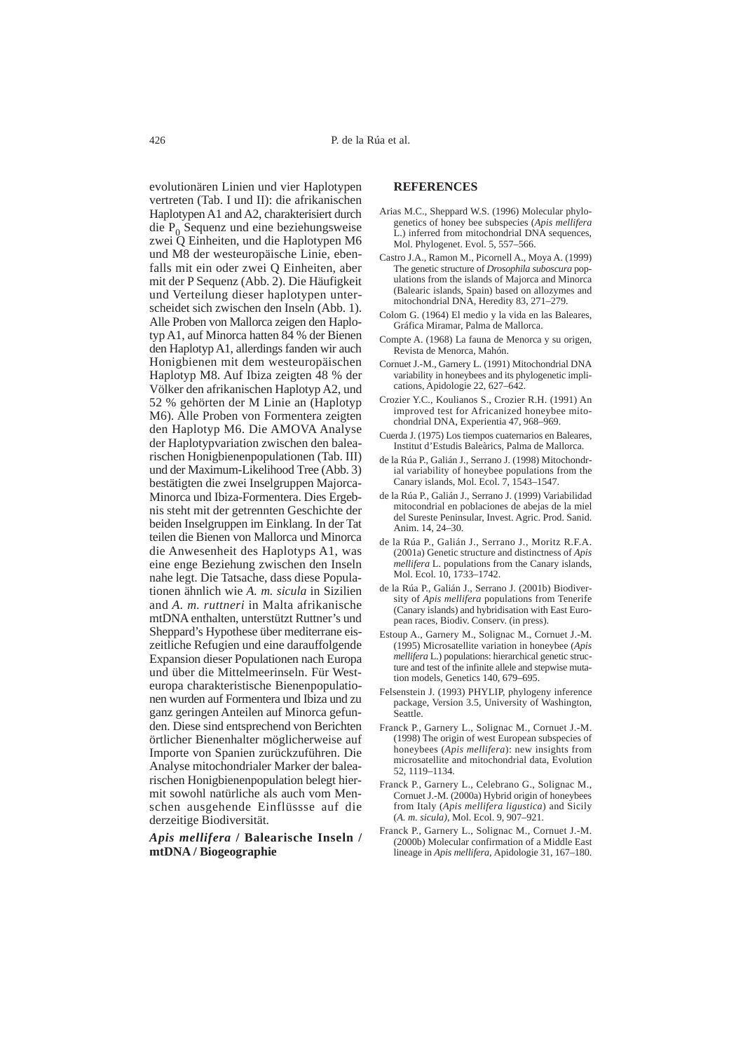evolutionären Linien und vier Haplotypen vertreten (Tab. I und II): die afrikanischen Haplotypen A1 and A2, charakterisiert durch die  $P_0$  Sequenz und eine beziehungsweise zwei Q Einheiten, und die Haplotypen M6 und M8 der westeuropäische Linie, ebenfalls mit ein oder zwei Q Einheiten, aber mit der P Sequenz (Abb. 2). Die Häufigkeit und Verteilung dieser haplotypen unterscheidet sich zwischen den Inseln (Abb. 1). Alle Proben von Mallorca zeigen den Haplotyp A1, auf Minorca hatten 84 % der Bienen den Haplotyp A1, allerdings fanden wir auch Honigbienen mit dem westeuropäischen Haplotyp M8. Auf Ibiza zeigten 48 % der Völker den afrikanischen Haplotyp A2, und 52 % gehörten der M Linie an (Haplotyp M6). Alle Proben von Formentera zeigten den Haplotyp M6. Die AMOVA Analyse der Haplotypvariation zwischen den balearischen Honigbienenpopulationen (Tab. III) und der Maximum-Likelihood Tree (Abb. 3) bestätigten die zwei Inselgruppen Majorca-Minorca und Ibiza-Formentera. Dies Ergebnis steht mit der getrennten Geschichte der beiden Inselgruppen im Einklang. In der Tat teilen die Bienen von Mallorca und Minorca die Anwesenheit des Haplotyps A1, was eine enge Beziehung zwischen den Inseln nahe legt. Die Tatsache, dass diese Populationen ähnlich wie *A. m. sicula* in Sizilien and *A. m. ruttneri* in Malta afrikanische mtDNA enthalten, unterstützt Ruttner's und Sheppard's Hypothese über mediterrane eiszeitliche Refugien und eine darauffolgende Expansion dieser Populationen nach Europa und über die Mittelmeerinseln. Für Westeuropa charakteristische Bienenpopulationen wurden auf Formentera und Ibiza und zu ganz geringen Anteilen auf Minorca gefunden. Diese sind entsprechend von Berichten örtlicher Bienenhalter möglicherweise auf Importe von Spanien zurückzuführen. Die Analyse mitochondrialer Marker der balearischen Honigbienenpopulation belegt hiermit sowohl natürliche als auch vom Menschen ausgehende Einflüssse auf die derzeitige Biodiversität.

# *Apis mellifera* **/ Balearische Inseln / mtDNA / Biogeographie**

# **REFERENCES**

- Arias M.C., Sheppard W.S. (1996) Molecular phylogenetics of honey bee subspecies (*Apis mellifera* L.) inferred from mitochondrial DNA sequences, Mol. Phylogenet. Evol. 5, 557–566.
- Castro J.A., Ramon M., Picornell A., Moya A. (1999) The genetic structure of *Drosophila suboscura* populations from the islands of Majorca and Minorca (Balearic islands, Spain) based on allozymes and mitochondrial DNA, Heredity 83, 271–279.
- Colom G. (1964) El medio y la vida en las Baleares, Gráfica Miramar, Palma de Mallorca.
- Compte A. (1968) La fauna de Menorca y su origen, Revista de Menorca, Mahón.
- Cornuet J.-M., Garnery L. (1991) Mitochondrial DNA variability in honeybees and its phylogenetic implications, Apidologie 22, 627-642.
- Crozier Y.C., Koulianos S., Crozier R.H. (1991) An improved test for Africanized honeybee mitochondrial DNA, Experientia 47, 968-969.
- Cuerda J. (1975) Los tiempos cuaternarios en Baleares, Institut d'Estudis Baleàrics, Palma de Mallorca.
- de la Rúa P., Galián J., Serrano J. (1998) Mitochondrial variability of honeybee populations from the Canary islands, Mol. Ecol. 7, 1543–1547.
- de la Rúa P., Galián J., Serrano J. (1999) Variabilidad mitocondrial en poblaciones de abejas de la miel del Sureste Peninsular, Invest. Agric. Prod. Sanid. Anim. 14, 24–30.
- de la Rúa P., Galián J., Serrano J., Moritz R.F.A. (2001a) Genetic structure and distinctness of *Apis mellifera* L. populations from the Canary islands, Mol. Ecol. 10, 1733–1742.
- de la Rúa P., Galián J., Serrano J. (2001b) Biodiversity of *Apis mellifera* populations from Tenerife (Canary islands) and hybridisation with East European races, Biodiv. Conserv. (in press).
- Estoup A., Garnery M., Solignac M., Cornuet J.-M. (1995) Microsatellite variation in honeybee (*Apis mellifera* L.) populations: hierarchical genetic structure and test of the infinite allele and stepwise mutation models, Genetics 140, 679–695.
- Felsenstein J. (1993) PHYLIP, phylogeny inference package, Version 3.5, University of Washington, Seattle.
- Franck P., Garnery L., Solignac M., Cornuet J.-M. (1998) The origin of west European subspecies of honeybees (*Apis mellifera*): new insights from microsatellite and mitochondrial data, Evolution 52, 1119–1134.
- Franck P., Garnery L., Celebrano G., Solignac M., Cornuet J.-M. (2000a) Hybrid origin of honeybees from Italy (*Apis mellifera ligustica*) and Sicily (*A. m. sicula)*, Mol. Ecol. 9, 907–921.
- Franck P., Garnery L., Solignac M., Cornuet J.-M. (2000b) Molecular confirmation of a Middle East lineage in *Apis mellifera,* Apidologie 31, 167–180.